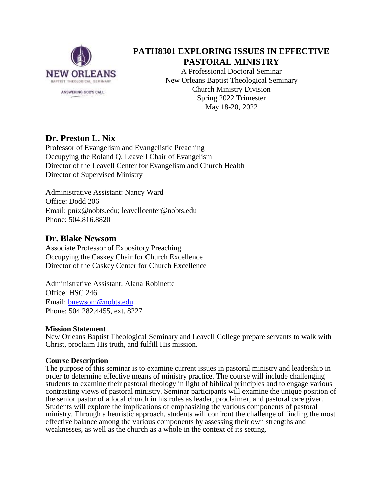

# **PATH8301 EXPLORING ISSUES IN EFFECTIVE PASTORAL MINISTRY**

A Professional Doctoral Seminar New Orleans Baptist Theological Seminary Church Ministry Division Spring 2022 Trimester May 18-20, 2022

## **Dr. Preston L. Nix**

Professor of Evangelism and Evangelistic Preaching Occupying the Roland Q. Leavell Chair of Evangelism Director of the Leavell Center for Evangelism and Church Health Director of Supervised Ministry

Administrative Assistant: Nancy Ward Office: Dodd 206 Email: pnix@nobts.edu; leavellcenter@nobts.edu Phone: 504.816.8820

## **Dr. Blake Newsom**

Associate Professor of Expository Preaching Occupying the Caskey Chair for Church Excellence Director of the Caskey Center for Church Excellence

Administrative Assistant: Alana Robinette Office: HSC 246 Email: [bnewsom@nobts.edu](mailto:bnewsom@nobts.edu) Phone: 504.282.4455, ext. 8227

## **Mission Statement**

New Orleans Baptist Theological Seminary and Leavell College prepare servants to walk with Christ, proclaim His truth, and fulfill His mission.

## **Course Description**

The purpose of this seminar is to examine current issues in pastoral ministry and leadership in order to determine effective means of ministry practice. The course will include challenging students to examine their pastoral theology in light of biblical principles and to engage various contrasting views of pastoral ministry. Seminar participants will examine the unique position of the senior pastor of a local church in his roles as leader, proclaimer, and pastoral care giver. Students will explore the implications of emphasizing the various components of pastoral ministry. Through a heuristic approach, students will confront the challenge of finding the most effective balance among the various components by assessing their own strengths and weaknesses, as well as the church as a whole in the context of its setting.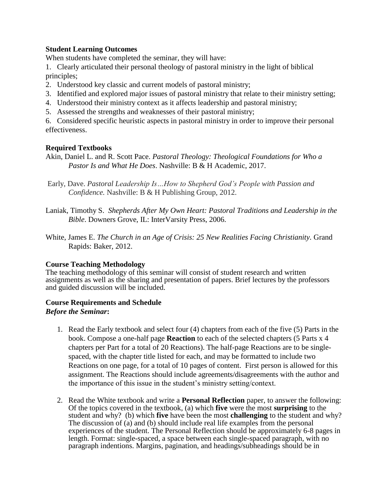## **Student Learning Outcomes**

When students have completed the seminar, they will have:

- 1. Clearly articulated their personal theology of pastoral ministry in the light of biblical principles;
- 2. Understood key classic and current models of pastoral ministry;
- 3. Identified and explored major issues of pastoral ministry that relate to their ministry setting;
- 4. Understood their ministry context as it affects leadership and pastoral ministry;
- 5. Assessed the strengths and weaknesses of their pastoral ministry;

6. Considered specific heuristic aspects in pastoral ministry in order to improve their personal effectiveness.

### **Required Textbooks**

- Akin, Daniel L. and R. Scott Pace. *Pastoral Theology: Theological Foundations for Who a Pastor Is and What He Does*. Nashville: B & H Academic, 2017.
- Early, Dave. *Pastoral Leadership Is…How to Shepherd God's People with Passion and Confidence.* Nashville: B & H Publishing Group, 2012.
- Laniak, Timothy S. *Shepherds After My Own Heart: Pastoral Traditions and Leadership in the Bible*. Downers Grove, IL: InterVarsity Press, 2006.
- White, James E. *The Church in an Age of Crisis: 25 New Realities Facing Christianity.* Grand Rapids: Baker, 2012.

#### **Course Teaching Methodology**

The teaching methodology of this seminar will consist of student research and written assignments as well as the sharing and presentation of papers. Brief lectures by the professors and guided discussion will be included.

#### **Course Requirements and Schedule** *Before the Seminar***:**

- 1. Read the Early textbook and select four (4) chapters from each of the five (5) Parts in the book. Compose a one-half page **Reaction** to each of the selected chapters (5 Parts x 4 chapters per Part for a total of 20 Reactions). The half-page Reactions are to be singlespaced, with the chapter title listed for each, and may be formatted to include two Reactions on one page, for a total of 10 pages of content. First person is allowed for this assignment. The Reactions should include agreements/disagreements with the author and the importance of this issue in the student's ministry setting/context.
- 2. Read the White textbook and write a **Personal Reflection** paper, to answer the following: Of the topics covered in the textbook, (a) which **five** were the most **surprising** to the student and why? (b) which **five** have been the most **challenging** to the student and why? The discussion of (a) and (b) should include real life examples from the personal experiences of the student. The Personal Reflection should be approximately 6-8 pages in length. Format: single-spaced, a space between each single-spaced paragraph, with no paragraph indentions. Margins, pagination, and headings/subheadings should be in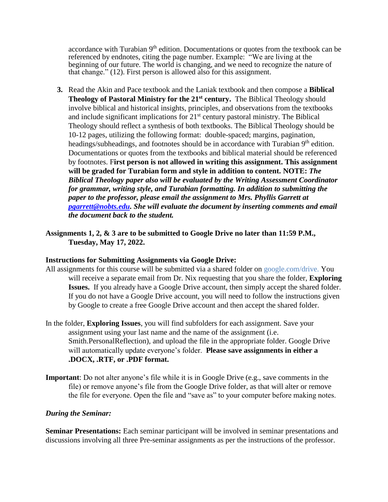accordance with Turabian 9<sup>th</sup> edition. Documentations or quotes from the textbook can be referenced by endnotes, citing the page number. Example: "We are living at the beginning of our future. The world is changing, and we need to recognize the nature of that change." (12). First person is allowed also for this assignment.

- **3.** Read the Akin and Pace textbook and the Laniak textbook and then compose a **Biblical Theology of Pastoral Ministry for the 21st century.** The Biblical Theology should involve biblical and historical insights, principles, and observations from the textbooks and include significant implications for  $21<sup>st</sup>$  century pastoral ministry. The Biblical Theology should reflect a synthesis of both textbooks. The Biblical Theology should be 10-12 pages, utilizing the following format: double-spaced; margins, pagination, headings/subheadings, and footnotes should be in accordance with Turabian 9<sup>th</sup> edition. Documentations or quotes from the textbooks and biblical material should be referenced by footnotes. F**irst person is not allowed in writing this assignment. This assignment will be graded for Turabian form and style in addition to content. NOTE:** *The Biblical Theology paper also will be evaluated by the Writing Assessment Coordinator for grammar, writing style, and Turabian formatting. In addition to submitting the paper to the professor, please email the assignment to Mrs. Phyllis Garrett at [pgarrett@nobts.edu.](mailto:pgarrett@nobts.edu) She will evaluate the document by inserting comments and email the document back to the student.*
- **Assignments 1, 2, & 3 are to be submitted to Google Drive no later than 11:59 P.M., Tuesday, May 17, 2022.**

#### **Instructions for Submitting Assignments via Google Drive:**

- All assignments for this course will be submitted via a shared folder on google.com/drive. You will receive a separate email from Dr. Nix requesting that you share the folder, **Exploring Issues.** If you already have a Google Drive account, then simply accept the shared folder. If you do not have a Google Drive account, you will need to follow the instructions given by Google to create a free Google Drive account and then accept the shared folder.
- In the folder, **Exploring Issues**, you will find subfolders for each assignment. Save your assignment using your last name and the name of the assignment (i.e. Smith.PersonalReflection), and upload the file in the appropriate folder. Google Drive will automatically update everyone's folder. **Please save assignments in either a .DOCX, .RTF, or .PDF format.**
- **Important**: Do not alter anyone's file while it is in Google Drive (e.g., save comments in the file) or remove anyone's file from the Google Drive folder, as that will alter or remove the file for everyone. Open the file and "save as" to your computer before making notes.

#### *During the Seminar:*

**Seminar Presentations:** Each seminar participant will be involved in seminar presentations and discussions involving all three Pre-seminar assignments as per the instructions of the professor.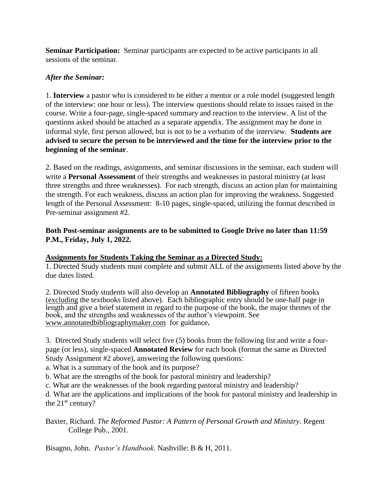**Seminar Participation:** Seminar participants are expected to be active participants in all sessions of the seminar.

## *After the Seminar:*

1. **Interview** a pastor who is considered to be either a mentor or a role model (suggested length of the interview: one hour or less). The interview questions should relate to issues raised in the course. Write a four-page, single-spaced summary and reaction to the interview. A list of the questions asked should be attached as a separate appendix. The assignment may be done in informal style, first person allowed, but is not to be a verbatim of the interview. **Students are advised to secure the person to be interviewed and the time for the interview prior to the beginning of the seminar**.

2. Based on the readings, assignments, and seminar discussions in the seminar, each student will write a **Personal Assessment** of their strengths and weaknesses in pastoral ministry (at least three strengths and three weaknesses). For each strength, discuss an action plan for maintaining the strength. For each weakness, discuss an action plan for improving the weakness. Suggested length of the Personal Assessment: 8-10 pages, single-spaced, utilizing the format described in Pre-seminar assignment #2.

## **Both Post-seminar assignments are to be submitted to Google Drive no later than 11:59 P.M., Friday, July 1, 2022.**

## **Assignments for Students Taking the Seminar as a Directed Study:**

1. Directed Study students must complete and submit ALL of the assignments listed above by the due dates listed.

2. Directed Study students will also develop an **Annotated Bibliography** of fifteen books (excluding the textbooks listed above). Each bibliographic entry should be one-half page in length and give a brief statement in regard to the purpose of the book, the major themes of the book, and the strengths and weaknesses of the author's viewpoint. See [www.annotatedbibliographymaker.com](http://www.annotatedbibliographymaker.com/)for guidance**.**

3. Directed Study students will select five (5) books from the following list and write a fourpage (or less), single-spaced **Annotated Review** for each book (format the same as Directed Study Assignment #2 above), answering the following questions:

a. What is a summary of the book and its purpose?

b. What are the strengths of the book for pastoral ministry and leadership?

c. What are the weaknesses of the book regarding pastoral ministry and leadership?

d. What are the applications and implications of the book for pastoral ministry and leadership in the  $21<sup>st</sup>$  century?

Baxter, Richard. *The Reformed Pastor: A Pattern of Personal Growth and Ministry*. Regent College Pub., 2001.

Bisagno, John. *Pastor's Handbook*. Nashville: B & H, 2011.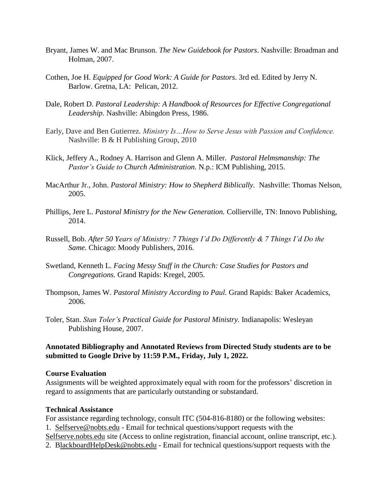- Bryant, James W. and Mac Brunson. *The New Guidebook for Pastors*. Nashville: Broadman and Holman, 2007.
- Cothen, Joe H. *Equipped for Good Work: A Guide for Pastors*. 3rd ed. Edited by Jerry N. Barlow. Gretna, LA: Pelican, 2012.
- Dale, Robert D. *Pastoral Leadership: A Handbook of Resources for Effective Congregational Leadership*. Nashville: Abingdon Press, 1986.
- Early, Dave and Ben Gutierrez. *Ministry Is…How to Serve Jesus with Passion and Confidence.*  Nashville: B & H Publishing Group, 2010
- Klick, Jeffery A., Rodney A. Harrison and Glenn A. Miller. *Pastoral Helmsmanship: The Pastor's Guide to Church Administration.* N.p.: ICM Publishing, 2015.
- MacArthur Jr., John. *Pastoral Ministry: How to Shepherd Biblically.* Nashville: Thomas Nelson, 2005.
- Phillips, Jere L. *Pastoral Ministry for the New Generation.* Collierville, TN: Innovo Publishing, 2014.
- Russell, Bob. *After 50 Years of Ministry: 7 Things I'd Do Differently & 7 Things I'd Do the Same*. Chicago: Moody Publishers, 2016.
- Swetland, Kenneth L. *Facing Messy Stuff in the Church: Case Studies for Pastors and Congregations.* Grand Rapids: Kregel, 2005.
- Thompson, James W. *Pastoral Ministry According to Paul.* Grand Rapids: Baker Academics, 2006.
- Toler, Stan. *Stan Toler's Practical Guide for Pastoral Ministry.* Indianapolis: Wesleyan Publishing House, 2007.

#### **Annotated Bibliography and Annotated Reviews from Directed Study students are to be submitted to Google Drive by 11:59 P.M., Friday, July 1, 2022.**

#### **Course Evaluation**

Assignments will be weighted approximately equal with room for the professors' discretion in regard to assignments that are particularly outstanding or substandard.

#### **Technical Assistance**

For assistance regarding technology, consult ITC (504-816-8180) or the following websites: 1. Selfserve@nobts.edu - Email for technical questions/support requests with the Selfserve.nobts.edu site (Access to online registration, financial account, online transcript, etc.). 2. BlackboardHelpDesk@nobts.edu - Email for technical questions/support requests with the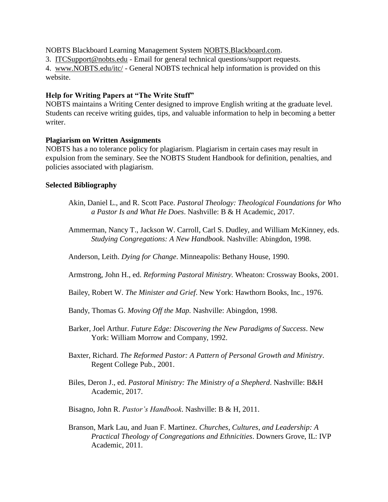NOBTS Blackboard Learning Management System NOBTS.Blackboard.com.

3. ITCSupport@nobts.edu - Email for general technical questions/support requests.

4. www.NOBTS.edu/itc/ - General NOBTS technical help information is provided on this website.

## **Help for Writing Papers at "The Write Stuff"**

NOBTS maintains a Writing Center designed to improve English writing at the graduate level. Students can receive writing guides, tips, and valuable information to help in becoming a better writer.

## **Plagiarism on Written Assignments**

NOBTS has a no tolerance policy for plagiarism. Plagiarism in certain cases may result in expulsion from the seminary. See the NOBTS Student Handbook for definition, penalties, and policies associated with plagiarism.

## **Selected Bibliography**

- Akin, Daniel L., and R. Scott Pace. *Pastoral Theology: Theological Foundations for Who a Pastor Is and What He Does*. Nashville: B & H Academic, 2017.
- Ammerman, Nancy T., Jackson W. Carroll, Carl S. Dudley, and William McKinney, eds. *Studying Congregations: A New Handbook*. Nashville: Abingdon, 1998.

Anderson, Leith. *Dying for Change*. Minneapolis: Bethany House, 1990.

Armstrong, John H., ed. *Reforming Pastoral Ministry.* Wheaton: Crossway Books, 2001.

- Bailey, Robert W. *The Minister and Grief*. New York: Hawthorn Books, Inc., 1976.
- Bandy, Thomas G. *Moving Off the Map.* Nashville: Abingdon, 1998.
- Barker, Joel Arthur. *Future Edge: Discovering the New Paradigms of Success*. New York: William Morrow and Company, 1992.
- Baxter, Richard. *The Reformed Pastor: A Pattern of Personal Growth and Ministry*. Regent College Pub., 2001.
- Biles, Deron J., ed. *Pastoral Ministry: The Ministry of a Shepherd*. Nashville: B&H Academic, 2017.
- Bisagno, John R. *Pastor's Handbook*. Nashville: B & H, 2011.
- Branson, Mark Lau, and Juan F. Martinez. *Churches, Cultures, and Leadership: A Practical Theology of Congregations and Ethnicities*. Downers Grove, IL: IVP Academic, 2011.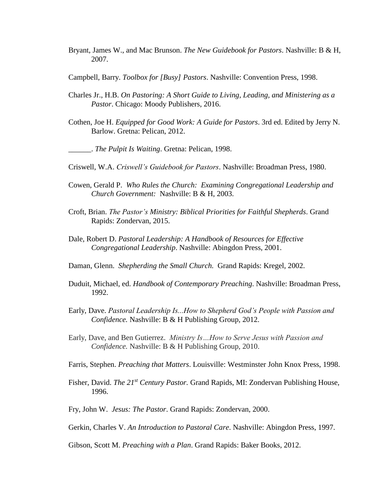- Bryant, James W., and Mac Brunson. *The New Guidebook for Pastors*. Nashville: B & H, 2007.
- Campbell, Barry. *Toolbox for [Busy] Pastors*. Nashville: Convention Press, 1998.
- Charles Jr., H.B. *On Pastoring: A Short Guide to Living, Leading, and Ministering as a Pastor*. Chicago: Moody Publishers, 2016.
- Cothen, Joe H. *Equipped for Good Work: A Guide for Pastors*. 3rd ed. Edited by Jerry N. Barlow. Gretna: Pelican, 2012.

\_\_\_\_\_\_. *The Pulpit Is Waiting*. Gretna: Pelican, 1998.

- Criswell, W.A. *Criswell's Guidebook for Pastors*. Nashville: Broadman Press, 1980.
- Cowen, Gerald P. *Who Rules the Church: Examining Congregational Leadership and Church Government:* Nashville: B & H, 2003.
- Croft, Brian. *The Pastor's Ministry: Biblical Priorities for Faithful Shepherds*. Grand Rapids: Zondervan, 2015.
- Dale, Robert D. *Pastoral Leadership: A Handbook of Resources for Effective Congregational Leadership*. Nashville: Abingdon Press, 2001.
- Daman, Glenn. *Shepherding the Small Church.* Grand Rapids: Kregel, 2002.
- Duduit, Michael, ed. *Handbook of Contemporary Preaching*. Nashville: Broadman Press, 1992.
- Early, Dave. *Pastoral Leadership Is...How to Shepherd God's People with Passion and Confidence.* Nashville: B & H Publishing Group, 2012.
- Early, Dave, and Ben Gutierrez. *Ministry Is…How to Serve Jesus with Passion and Confidence.* Nashville: B & H Publishing Group, 2010.
- Farris, Stephen. *Preaching that Matters*. Louisville: Westminster John Knox Press, 1998.
- Fisher, David. *The 21st Century Pastor.* Grand Rapids, MI: Zondervan Publishing House, 1996.
- Fry, John W. *Jesus: The Pastor*. Grand Rapids: Zondervan, 2000.
- Gerkin, Charles V. *An Introduction to Pastoral Care*. Nashville: Abingdon Press, 1997.
- Gibson, Scott M. *Preaching with a Plan*. Grand Rapids: Baker Books, 2012.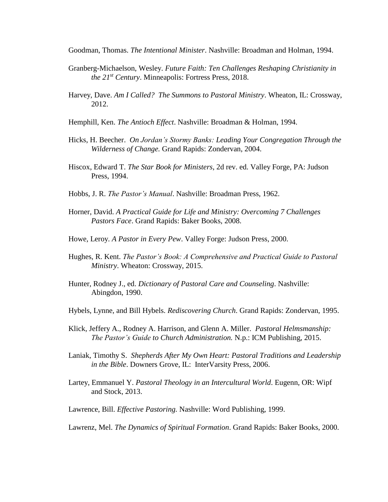Goodman, Thomas. *The Intentional Minister*. Nashville: Broadman and Holman, 1994.

- Granberg-Michaelson, Wesley. *Future Faith: Ten Challenges Reshaping Christianity in the 21st Century*. Minneapolis: Fortress Press, 2018.
- Harvey, Dave. *Am I Called? The Summons to Pastoral Ministry*. Wheaton, IL: Crossway, 2012.
- Hemphill, Ken. *The Antioch Effect*. Nashville: Broadman & Holman, 1994.
- Hicks, H. Beecher. *On Jordan's Stormy Banks: Leading Your Congregation Through the Wilderness of Change.* Grand Rapids: Zondervan, 2004.
- Hiscox, Edward T. *The Star Book for Ministers*, 2d rev. ed. Valley Forge, PA: Judson Press, 1994.
- Hobbs, J. R. *The Pastor's Manual*. Nashville: Broadman Press, 1962.
- Horner, David. *A Practical Guide for Life and Ministry: Overcoming 7 Challenges Pastors Face*. Grand Rapids: Baker Books, 2008.
- Howe, Leroy. *A Pastor in Every Pew*. Valley Forge: Judson Press, 2000.
- Hughes, R. Kent. *The Pastor's Book: A Comprehensive and Practical Guide to Pastoral Ministry*. Wheaton: Crossway, 2015.
- Hunter, Rodney J., ed. *Dictionary of Pastoral Care and Counseling*. Nashville: Abingdon, 1990.
- Hybels, Lynne, and Bill Hybels. *Rediscovering Church*. Grand Rapids: Zondervan, 1995.
- Klick, Jeffery A., Rodney A. Harrison, and Glenn A. Miller. *Pastoral Helmsmanship: The Pastor's Guide to Church Administration.* N.p.: ICM Publishing, 2015.
- Laniak, Timothy S. *Shepherds After My Own Heart: Pastoral Traditions and Leadership in the Bible*. Downers Grove, IL: InterVarsity Press, 2006.
- Lartey, Emmanuel Y. *Pastoral Theology in an Intercultural World*. Eugenn, OR: Wipf and Stock, 2013.
- Lawrence, Bill. *Effective Pastoring.* Nashville: Word Publishing, 1999.
- Lawrenz, Mel. *The Dynamics of Spiritual Formation*. Grand Rapids: Baker Books, 2000.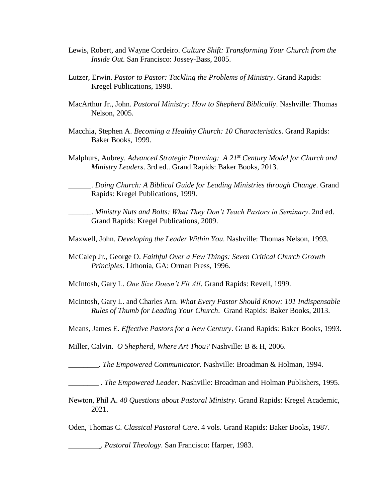- Lewis, Robert, and Wayne Cordeiro. *Culture Shift: Transforming Your Church from the Inside Out.* San Francisco: Jossey-Bass, 2005.
- Lutzer, Erwin. *Pastor to Pastor: Tackling the Problems of Ministry*. Grand Rapids: Kregel Publications, 1998.
- MacArthur Jr., John. *Pastoral Ministry: How to Shepherd Biblically*. Nashville: Thomas Nelson, 2005.
- Macchia, Stephen A. *Becoming a Healthy Church: 10 Characteristics*. Grand Rapids: Baker Books, 1999.
- Malphurs, Aubrey. *Advanced Strategic Planning: A 21st Century Model for Church and Ministry Leaders*. 3rd ed.. Grand Rapids: Baker Books, 2013.

\_\_\_\_\_\_. *Doing Church: A Biblical Guide for Leading Ministries through Change*. Grand Rapids: Kregel Publications, 1999.

\_\_\_\_\_\_. *Ministry Nuts and Bolts: What They Don't Teach Pastors in Seminary*. 2nd ed. Grand Rapids: Kregel Publications, 2009.

- Maxwell, John. *Developing the Leader Within You*. Nashville: Thomas Nelson, 1993.
- McCalep Jr., George O. *Faithful Over a Few Things: Seven Critical Church Growth Principles*. Lithonia, GA: Orman Press, 1996.

McIntosh, Gary L. *One Size Doesn't Fit All*. Grand Rapids: Revell, 1999.

- McIntosh, Gary L. and Charles Arn. *What Every Pastor Should Know: 101 Indispensable Rules of Thumb for Leading Your Church*. Grand Rapids: Baker Books, 2013.
- Means, James E. *Effective Pastors for a New Century*. Grand Rapids: Baker Books, 1993.

Miller, Calvin. *O Shepherd, Where Art Thou?* Nashville: B & H, 2006.

\_\_\_\_\_\_\_\_. *The Empowered Communicator*. Nashville: Broadman & Holman, 1994.

\_\_\_\_\_\_\_\_ . *The Empowered Leader*. Nashville: Broadman and Holman Publishers, 1995.

Newton, Phil A. *40 Questions about Pastoral Ministry*. Grand Rapids: Kregel Academic, 2021.

Oden, Thomas C. *Classical Pastoral Care*. 4 vols. Grand Rapids: Baker Books, 1987.

\_\_\_\_\_\_\_\_ . *Pastoral Theology*. San Francisco: Harper, 1983.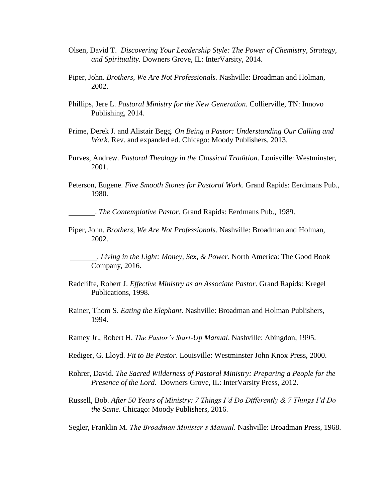- Olsen, David T. *Discovering Your Leadership Style: The Power of Chemistry, Strategy, and Spirituality.* Downers Grove, IL: InterVarsity, 2014.
- Piper, John. *Brothers, We Are Not Professionals.* Nashville: Broadman and Holman, 2002.
- Phillips, Jere L. *Pastoral Ministry for the New Generation.* Collierville, TN: Innovo Publishing, 2014.
- Prime, Derek J. and Alistair Begg. *On Being a Pastor: Understanding Our Calling and Work*. Rev. and expanded ed. Chicago: Moody Publishers, 2013.
- Purves, Andrew. *Pastoral Theology in the Classical Tradition*. Louisville: Westminster, 2001.
- Peterson, Eugene. *Five Smooth Stones for Pastoral Work*. Grand Rapids: Eerdmans Pub., 1980.

. *The Contemplative Pastor*. Grand Rapids: Eerdmans Pub., 1989.

Piper, John. *Brothers, We Are Not Professionals*. Nashville: Broadman and Holman, 2002.

 . *Living in the Light: Money, Sex, & Power*. North America: The Good Book Company, 2016.

- Radcliffe, Robert J. *Effective Ministry as an Associate Pastor*. Grand Rapids: Kregel Publications, 1998.
- Rainer, Thom S. *Eating the Elephant*. Nashville: Broadman and Holman Publishers, 1994.
- Ramey Jr., Robert H. *The Pastor's Start-Up Manual*. Nashville: Abingdon, 1995.
- Rediger, G. Lloyd. *Fit to Be Pastor*. Louisville: Westminster John Knox Press, 2000.
- Rohrer, David. *The Sacred Wilderness of Pastoral Ministry: Preparing a People for the Presence of the Lord.* Downers Grove, IL: InterVarsity Press, 2012.
- Russell, Bob. *After 50 Years of Ministry: 7 Things I'd Do Differently & 7 Things I'd Do the Same*. Chicago: Moody Publishers, 2016.
- Segler, Franklin M. *The Broadman Minister's Manual*. Nashville: Broadman Press, 1968.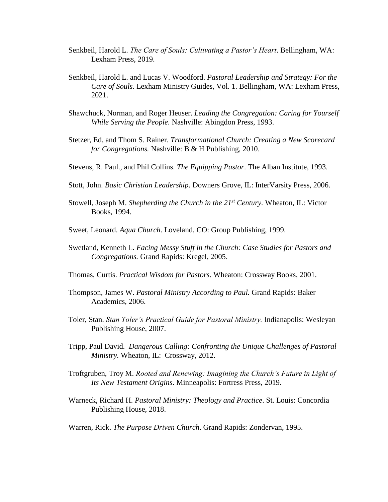- Senkbeil, Harold L. *The Care of Souls: Cultivating a Pastor's Heart*. Bellingham, WA: Lexham Press, 2019.
- Senkbeil, Harold L. and Lucas V. Woodford. *Pastoral Leadership and Strategy: For the Care of Souls*. Lexham Ministry Guides, Vol. 1. Bellingham, WA: Lexham Press, 2021.
- Shawchuck, Norman, and Roger Heuser. *Leading the Congregation: Caring for Yourself While Serving the People.* Nashville: Abingdon Press, 1993.
- Stetzer, Ed, and Thom S. Rainer. *Transformational Church: Creating a New Scorecard for Congregations.* Nashville: B & H Publishing, 2010.
- Stevens, R. Paul., and Phil Collins. *The Equipping Pastor*. The Alban Institute, 1993.
- Stott, John. *Basic Christian Leadership*. Downers Grove, IL: InterVarsity Press, 2006.
- Stowell, Joseph M. *Shepherding the Church in the 21st Century.* Wheaton*,* IL: Victor Books, 1994.
- Sweet, Leonard. *Aqua Church*. Loveland, CO: Group Publishing, 1999.
- Swetland, Kenneth L. *Facing Messy Stuff in the Church: Case Studies for Pastors and Congregations.* Grand Rapids: Kregel, 2005.
- Thomas, Curtis. *Practical Wisdom for Pastors*. Wheaton: Crossway Books, 2001.
- Thompson, James W. *Pastoral Ministry According to Paul.* Grand Rapids: Baker Academics, 2006.
- Toler, Stan. *Stan Toler's Practical Guide for Pastoral Ministry.* Indianapolis: Wesleyan Publishing House, 2007.
- Tripp, Paul David*. Dangerous Calling: Confronting the Unique Challenges of Pastoral Ministry.* Wheaton, IL: Crossway, 2012.
- Troftgruben, Troy M. *Rooted and Renewing: Imagining the Church's Future in Light of Its New Testament Origins*. Minneapolis: Fortress Press, 2019.
- Warneck, Richard H. *Pastoral Ministry: Theology and Practice*. St. Louis: Concordia Publishing House, 2018.
- Warren, Rick. *The Purpose Driven Church*. Grand Rapids: Zondervan, 1995.